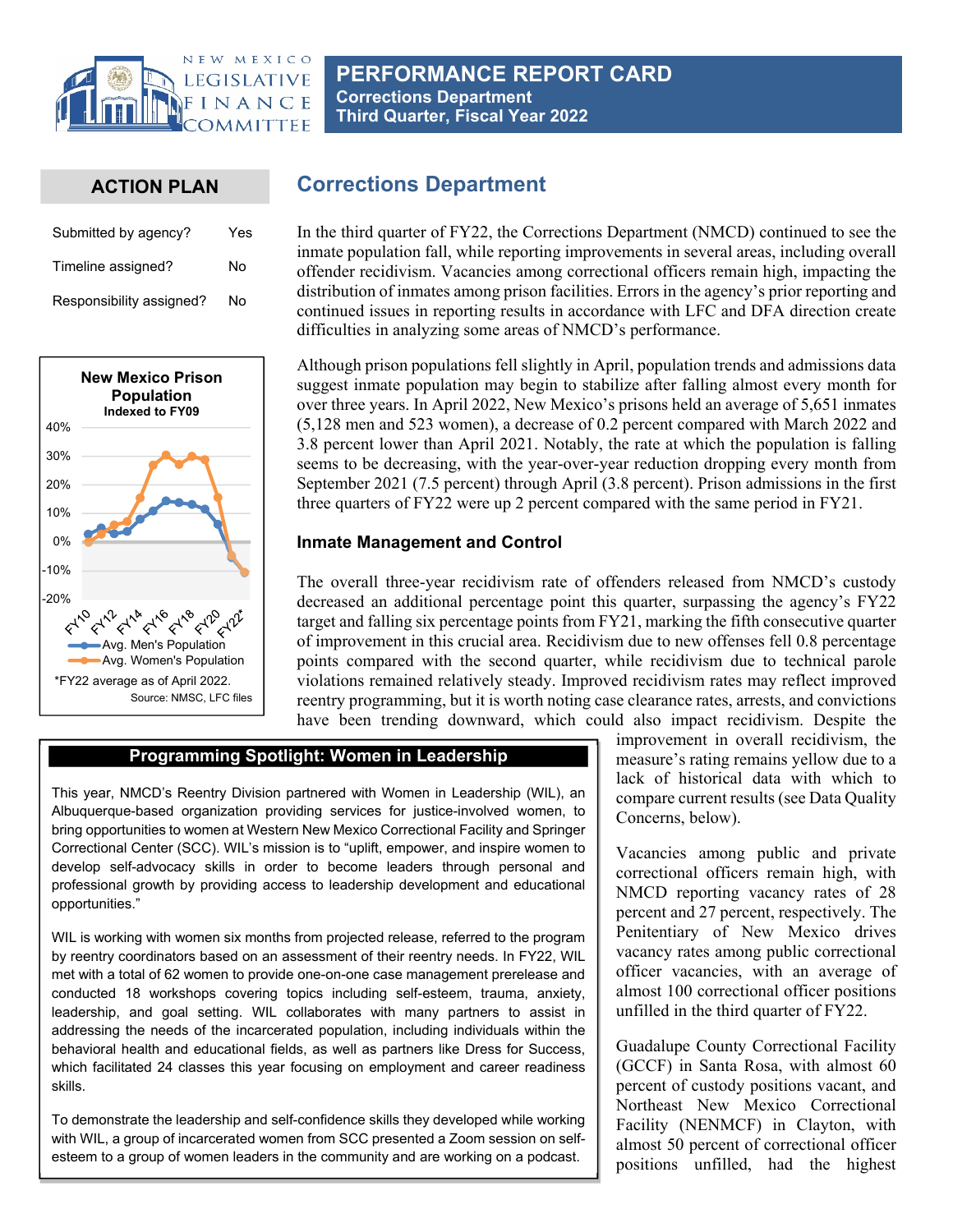

# **PERFORMANCE REPORT CARD Corrections Department Third Quarter, Fiscal Year 2022**

# **ACTION PLAN**

| Submitted by agency?     | Yes |
|--------------------------|-----|
| Timeline assigned?       | N٥  |
| Responsibility assigned? | No  |



# **Corrections Department**

In the third quarter of FY22, the Corrections Department (NMCD) continued to see the inmate population fall, while reporting improvements in several areas, including overall offender recidivism. Vacancies among correctional officers remain high, impacting the distribution of inmates among prison facilities. Errors in the agency's prior reporting and continued issues in reporting results in accordance with LFC and DFA direction create difficulties in analyzing some areas of NMCD's performance.

Although prison populations fell slightly in April, population trends and admissions data suggest inmate population may begin to stabilize after falling almost every month for over three years. In April 2022, New Mexico's prisons held an average of 5,651 inmates (5,128 men and 523 women), a decrease of 0.2 percent compared with March 2022 and 3.8 percent lower than April 2021. Notably, the rate at which the population is falling seems to be decreasing, with the year-over-year reduction dropping every month from September 2021 (7.5 percent) through April (3.8 percent). Prison admissions in the first three quarters of FY22 were up 2 percent compared with the same period in FY21.

## **Inmate Management and Control**

The overall three-year recidivism rate of offenders released from NMCD's custody decreased an additional percentage point this quarter, surpassing the agency's FY22 target and falling six percentage points from FY21, marking the fifth consecutive quarter of improvement in this crucial area. Recidivism due to new offenses fell 0.8 percentage points compared with the second quarter, while recidivism due to technical parole violations remained relatively steady. Improved recidivism rates may reflect improved reentry programming, but it is worth noting case clearance rates, arrests, and convictions have been trending downward, which could also impact recidivism. Despite the

### **Programming Spotlight: Women in Leadership**

This year, NMCD's Reentry Division partnered with Women in Leadership (WIL), an Albuquerque-based organization providing services for justice-involved women, to bring opportunities to women at Western New Mexico Correctional Facility and Springer Correctional Center (SCC). WIL's mission is to "uplift, empower, and inspire women to develop self-advocacy skills in order to become leaders through personal and professional growth by providing access to leadership development and educational opportunities."

WIL is working with women six months from projected release, referred to the program by reentry coordinators based on an assessment of their reentry needs. In FY22, WIL met with a total of 62 women to provide one-on-one case management prerelease and conducted 18 workshops covering topics including self-esteem, trauma, anxiety, leadership, and goal setting. WIL collaborates with many partners to assist in addressing the needs of the incarcerated population, including individuals within the behavioral health and educational fields, as well as partners like Dress for Success, which facilitated 24 classes this year focusing on employment and career readiness skills.

To demonstrate the leadership and self-confidence skills they developed while working with WIL, a group of incarcerated women from SCC presented a Zoom session on selfesteem to a group of women leaders in the community and are working on a podcast.

improvement in overall recidivism, the measure's rating remains yellow due to a lack of historical data with which to compare current results (see Data Quality Concerns, below).

Vacancies among public and private correctional officers remain high, with NMCD reporting vacancy rates of 28 percent and 27 percent, respectively. The Penitentiary of New Mexico drives vacancy rates among public correctional officer vacancies, with an average of almost 100 correctional officer positions unfilled in the third quarter of FY22.

Guadalupe County Correctional Facility (GCCF) in Santa Rosa, with almost 60 percent of custody positions vacant, and Northeast New Mexico Correctional Facility (NENMCF) in Clayton, with almost 50 percent of correctional officer positions unfilled, had the highest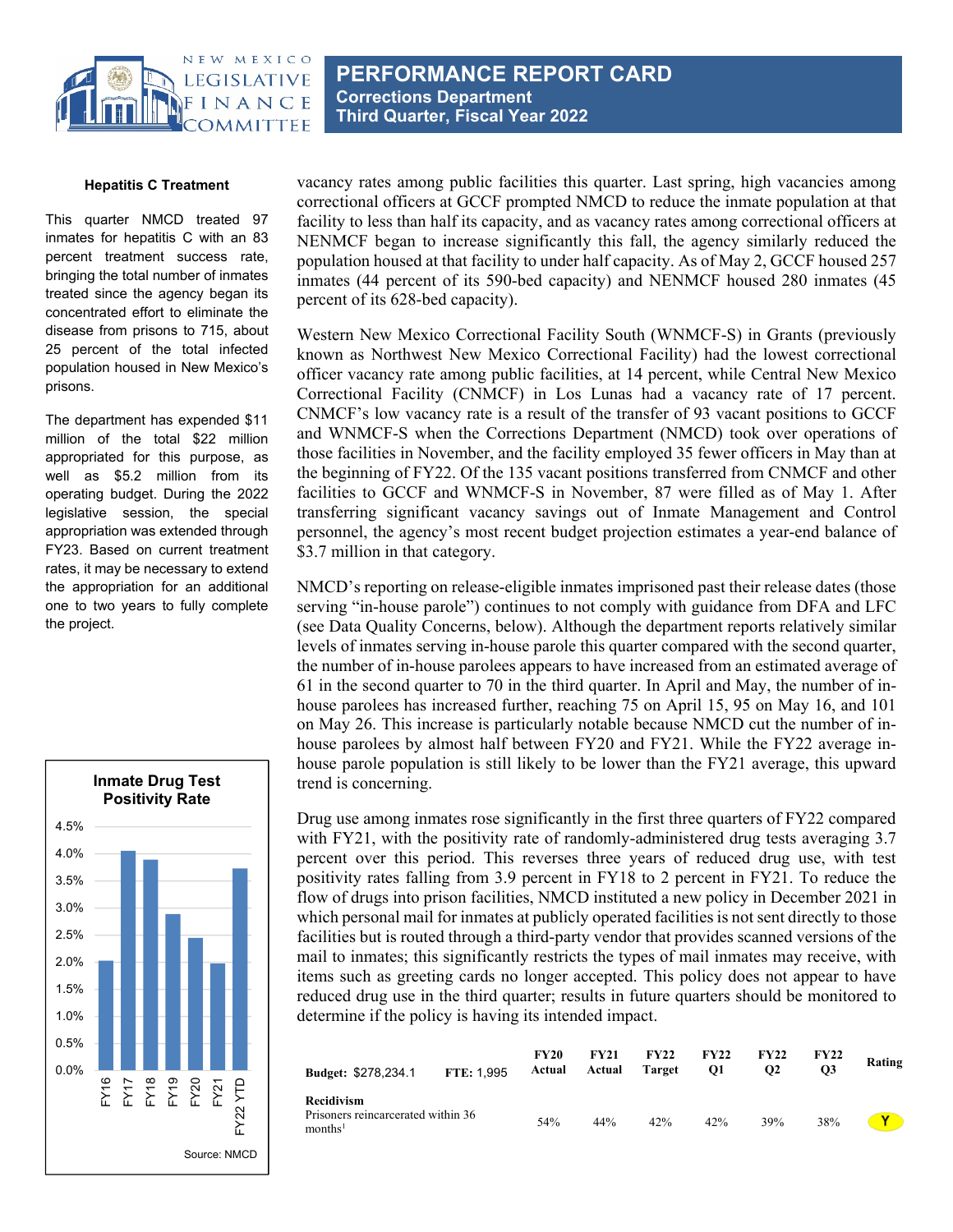

**PERFORMANCE REPORT CARD Corrections Department Third Quarter, Fiscal Year 2022** 

#### **Hepatitis C Treatment**

This quarter NMCD treated 97 inmates for hepatitis C with an 83 percent treatment success rate, bringing the total number of inmates treated since the agency began its concentrated effort to eliminate the disease from prisons to 715, about 25 percent of the total infected population housed in New Mexico's prisons.

The department has expended \$11 million of the total \$22 million appropriated for this purpose, as well as \$5.2 million from its operating budget. During the 2022 legislative session, the special appropriation was extended through FY23. Based on current treatment rates, it may be necessary to extend the appropriation for an additional one to two years to fully complete the project.



vacancy rates among public facilities this quarter. Last spring, high vacancies among correctional officers at GCCF prompted NMCD to reduce the inmate population at that facility to less than half its capacity, and as vacancy rates among correctional officers at NENMCF began to increase significantly this fall, the agency similarly reduced the population housed at that facility to under half capacity. As of May 2, GCCF housed 257 inmates (44 percent of its 590-bed capacity) and NENMCF housed 280 inmates (45 percent of its 628-bed capacity).

Western New Mexico Correctional Facility South (WNMCF-S) in Grants (previously known as Northwest New Mexico Correctional Facility) had the lowest correctional officer vacancy rate among public facilities, at 14 percent, while Central New Mexico Correctional Facility (CNMCF) in Los Lunas had a vacancy rate of 17 percent. CNMCF's low vacancy rate is a result of the transfer of 93 vacant positions to GCCF and WNMCF-S when the Corrections Department (NMCD) took over operations of those facilities in November, and the facility employed 35 fewer officers in May than at the beginning of FY22. Of the 135 vacant positions transferred from CNMCF and other facilities to GCCF and WNMCF-S in November, 87 were filled as of May 1. After transferring significant vacancy savings out of Inmate Management and Control personnel, the agency's most recent budget projection estimates a year-end balance of \$3.7 million in that category.

NMCD's reporting on release-eligible inmates imprisoned past their release dates (those serving "in-house parole") continues to not comply with guidance from DFA and LFC (see Data Quality Concerns, below). Although the department reports relatively similar levels of inmates serving in-house parole this quarter compared with the second quarter, the number of in-house parolees appears to have increased from an estimated average of 61 in the second quarter to 70 in the third quarter. In April and May, the number of inhouse parolees has increased further, reaching 75 on April 15, 95 on May 16, and 101 on May 26. This increase is particularly notable because NMCD cut the number of inhouse parolees by almost half between FY20 and FY21. While the FY22 average inhouse parole population is still likely to be lower than the FY21 average, this upward trend is concerning.

Drug use among inmates rose significantly in the first three quarters of FY22 compared with FY21, with the positivity rate of randomly-administered drug tests averaging 3.7 percent over this period. This reverses three years of reduced drug use, with test positivity rates falling from 3.9 percent in FY18 to 2 percent in FY21. To reduce the flow of drugs into prison facilities, NMCD instituted a new policy in December 2021 in which personal mail for inmates at publicly operated facilities is not sent directly to those facilities but is routed through a third-party vendor that provides scanned versions of the mail to inmates; this significantly restricts the types of mail inmates may receive, with items such as greeting cards no longer accepted. This policy does not appear to have reduced drug use in the third quarter; results in future quarters should be monitored to determine if the policy is having its intended impact.

| Budget: \$278,234.1 FTE: 1,995                                          | <b>FY20</b> | <b>FY21</b><br>Actual Actual Target | FY22 | <b>FY22</b><br><b>O</b> 1 | <b>FY22</b><br>$\Omega$ | <b>FY22</b><br><b>O3</b> | Rating                                                                                                                                                                                                                              |
|-------------------------------------------------------------------------|-------------|-------------------------------------|------|---------------------------|-------------------------|--------------------------|-------------------------------------------------------------------------------------------------------------------------------------------------------------------------------------------------------------------------------------|
| Recidivism<br>Prisoners reincarcerated within 36<br>months <sup>1</sup> | 54%         | 44%                                 | 42%  | 42%                       | 39%                     | 38%                      | <b>Second</b> the second second second second second second second second second second second second second second second second second second second second second second second second second second second second second second |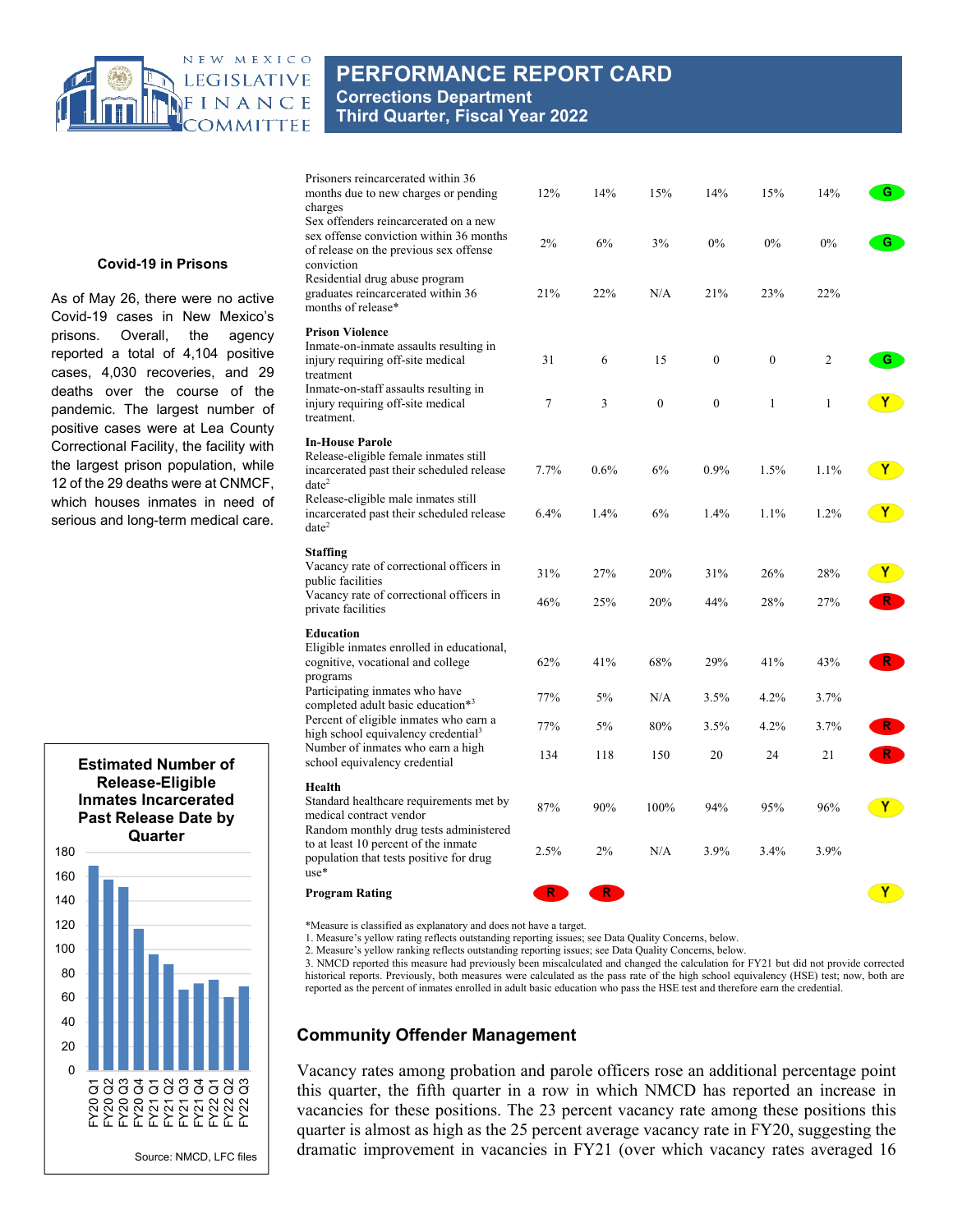

# **PERFORMANCE REPORT CARD Corrections Department Third Quarter, Fiscal Year 2022**

| Prisoners reincarcerated within 36<br>months due to new charges or pending                                                                                                                                     | 12%        | 14%        | 15%                  | 14%                      | 15%                      | 14%                            | G.                 |
|----------------------------------------------------------------------------------------------------------------------------------------------------------------------------------------------------------------|------------|------------|----------------------|--------------------------|--------------------------|--------------------------------|--------------------|
| charges<br>Sex offenders reincarcerated on a new<br>sex offense conviction within 36 months<br>of release on the previous sex offense<br>conviction                                                            | 2%         | 6%         | 3%                   | 0%                       | 0%                       | $0\%$                          | G                  |
| Residential drug abuse program<br>graduates reincarcerated within 36<br>months of release*                                                                                                                     | 21%        | 22%        | N/A                  | 21%                      | 23%                      | 22%                            |                    |
| <b>Prison Violence</b><br>Inmate-on-inmate assaults resulting in<br>injury requiring off-site medical<br>treatment<br>Inmate-on-staff assaults resulting in<br>injury requiring off-site medical<br>treatment. | 31<br>7    | 6<br>3     | 15<br>$\overline{0}$ | $\theta$<br>$\mathbf{0}$ | $\theta$<br>$\mathbf{1}$ | $\overline{c}$<br>$\mathbf{1}$ | G                  |
| <b>In-House Parole</b><br>Release-eligible female inmates still<br>incarcerated past their scheduled release<br>$date^2$<br>Release-eligible male inmates still                                                | 7.7%       | 0.6%       | 6%                   | $0.9\%$                  | $1.5\%$                  | $1.1\%$                        | <b>Y</b>           |
| incarcerated past their scheduled release<br>$date^2$                                                                                                                                                          | 6.4%       | 1.4%       | 6%                   | 1.4%                     | 1.1%                     | 1.2%                           | <b>Y</b>           |
| <b>Staffing</b><br>Vacancy rate of correctional officers in<br>public facilities<br>Vacancy rate of correctional officers in                                                                                   | 31%<br>46% | 27%<br>25% | 20%<br>20%           | 31%<br>44%               | 26%<br>28%               | 28%<br>27%                     | $\mathbf{Y}$<br>R. |
| private facilities<br><b>Education</b>                                                                                                                                                                         |            |            |                      |                          |                          |                                |                    |
| Eligible inmates enrolled in educational,<br>cognitive, vocational and college<br>programs                                                                                                                     | 62%        | 41%        | 68%                  | 29%                      | 41%                      | 43%                            | R.                 |
| Participating inmates who have<br>completed adult basic education*3                                                                                                                                            | 77%        | $5\%$      | N/A                  | 3.5%                     | 4.2%                     | 3.7%                           |                    |
| Percent of eligible inmates who earn a<br>high school equivalency credential <sup>3</sup>                                                                                                                      | 77%        | $5\%$      | 80%                  | 3.5%                     | 4.2%                     | 3.7%                           | $\mathsf{R}^-$     |
| Number of inmates who earn a high<br>school equivalency credential                                                                                                                                             | 134        | 118        | 150                  | 20                       | 24                       | 21                             |                    |
| Health<br>Standard healthcare requirements met by<br>medical contract vendor<br>Random monthly drug tests administered                                                                                         | 87%        | 90%        | 100%                 | 94%                      | 95%                      | 96%                            | $\mathbf{Y}$       |
| to at least 10 percent of the inmate<br>population that tests positive for drug<br>$use*$                                                                                                                      | 2.5%       | 2%         | N/A                  | 3.9%                     | 3.4%                     | 3.9%                           |                    |
| <b>Program Rating</b>                                                                                                                                                                                          | R.         | R          |                      |                          |                          |                                | $\mathbf{Y}$       |

**Covid-19 in Prisons** 

As of May 26, there were no active Covid-19 cases in New Mexico's prisons. Overall, the agency reported a total of 4,104 positive cases, 4,030 recoveries, and 29 deaths over the course of the pandemic. The largest number of positive cases were at Lea County Correctional Facility, the facility with the largest prison population, while 12 of the 29 deaths were at CNMCF, which houses inmates in need of serious and long-term medical care.



\*Measure is classified as explanatory and does not have a target.

1. Measure's yellow rating reflects outstanding reporting issues; see Data Quality Concerns, below.

2. Measure's yellow ranking reflects outstanding reporting issues; see Data Quality Concerns, below.

3. NMCD reported this measure had previously been miscalculated and changed the calculation for FY21 but did not provide corrected historical reports. Previously, both measures were calculated as the pass rate of the high school equivalency (HSE) test; now, both are reported as the percent of inmates enrolled in adult basic education who pass the HSE test and therefore earn the credential.

#### **Community Offender Management**

Vacancy rates among probation and parole officers rose an additional percentage point this quarter, the fifth quarter in a row in which NMCD has reported an increase in vacancies for these positions. The 23 percent vacancy rate among these positions this quarter is almost as high as the 25 percent average vacancy rate in FY20, suggesting the dramatic improvement in vacancies in FY21 (over which vacancy rates averaged 16